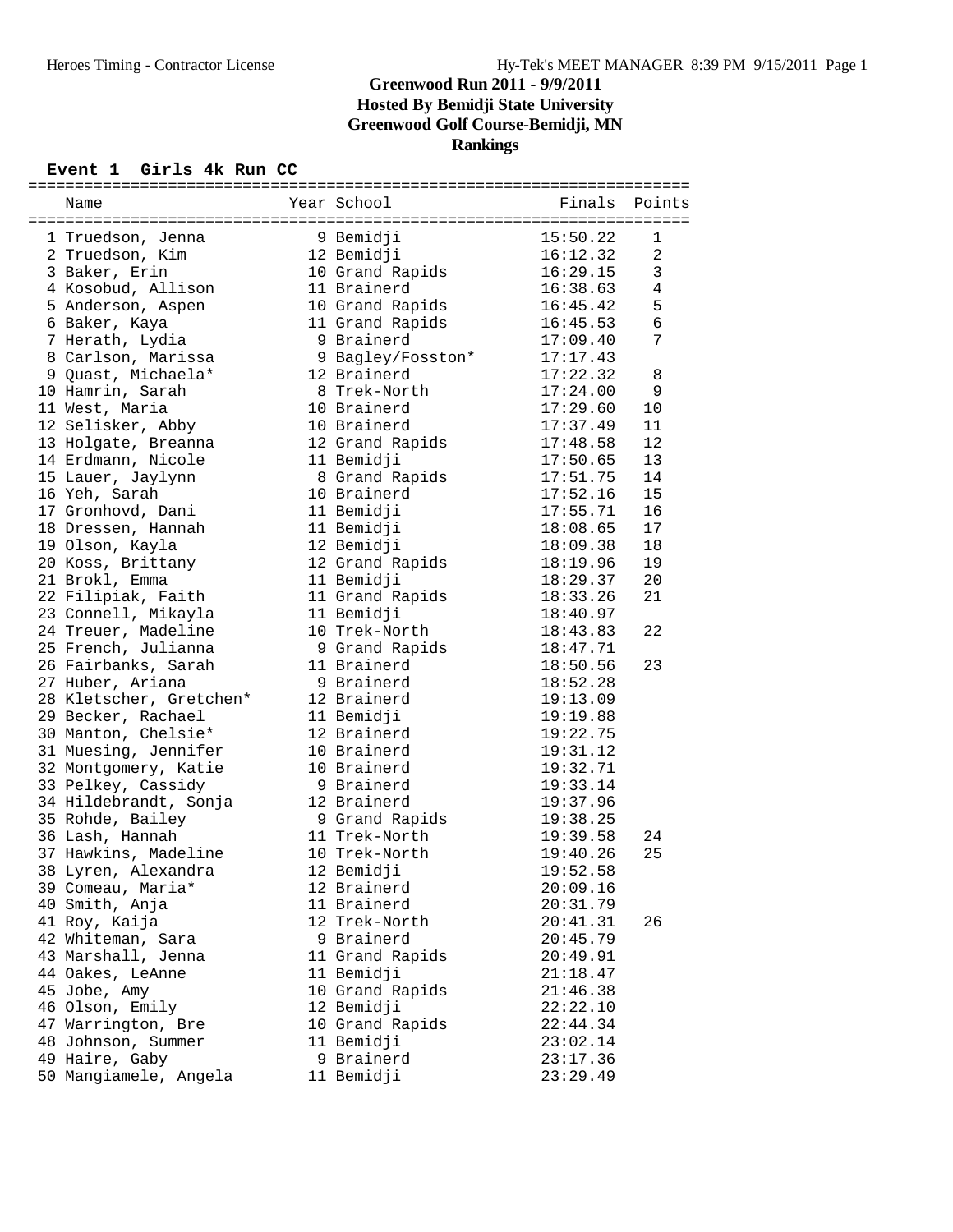## **Greenwood Run 2011 - 9/9/2011 Hosted By Bemidji State University Greenwood Golf Course-Bemidji, MN Rankings**

## **Event 1 Girls 4k Run CC**

|  | Name                                     |  | Year School       | Finals   | Points       |  |  |  |  |  |
|--|------------------------------------------|--|-------------------|----------|--------------|--|--|--|--|--|
|  |                                          |  |                   |          |              |  |  |  |  |  |
|  | 1 Truedson, Jenna                        |  | 9 Bemidji         | 15:50.22 | 1            |  |  |  |  |  |
|  | 2 Truedson, Kim                          |  | 12 Bemidji        | 16:12.32 | 2            |  |  |  |  |  |
|  | 3 Baker, Erin                            |  | 10 Grand Rapids   | 16:29.15 | $\mathbf{3}$ |  |  |  |  |  |
|  | 4 Kosobud, Allison                       |  | 11 Brainerd       | 16:38.63 | 4            |  |  |  |  |  |
|  | 5 Anderson, Aspen                        |  | 10 Grand Rapids   | 16:45.42 | 5            |  |  |  |  |  |
|  | 6 Baker, Kaya                            |  | 11 Grand Rapids   | 16:45.53 | $\epsilon$   |  |  |  |  |  |
|  | 7 Herath, Lydia                          |  | 9 Brainerd        | 17:09.40 | 7            |  |  |  |  |  |
|  | 8 Carlson, Marissa                       |  | 9 Bagley/Fosston* | 17:17.43 |              |  |  |  |  |  |
|  | 9 Quast, Michaela*                       |  | 12 Brainerd       | 17:22.32 | 8            |  |  |  |  |  |
|  | 10 Hamrin, Sarah                         |  | 8 Trek-North      | 17:24.00 | 9            |  |  |  |  |  |
|  | 11 West, Maria                           |  | 10 Brainerd       | 17:29.60 | 10           |  |  |  |  |  |
|  | 12 Selisker, Abby                        |  | 10 Brainerd       | 17:37.49 | 11           |  |  |  |  |  |
|  |                                          |  |                   |          | 12           |  |  |  |  |  |
|  | 13 Holgate, Breanna                      |  | 12 Grand Rapids   | 17:48.58 |              |  |  |  |  |  |
|  | 14 Erdmann, Nicole                       |  | 11 Bemidji        | 17:50.65 | 13           |  |  |  |  |  |
|  | 15 Lauer, Jaylynn                        |  | 8 Grand Rapids    | 17:51.75 | 14           |  |  |  |  |  |
|  | 16 Yeh, Sarah                            |  | 10 Brainerd       | 17:52.16 | 15           |  |  |  |  |  |
|  | 17 Gronhovd, Dani                        |  | 11 Bemidji        | 17:55.71 | 16           |  |  |  |  |  |
|  | 18 Dressen, Hannah                       |  | 11 Bemidji        | 18:08.65 | 17           |  |  |  |  |  |
|  | 19 Olson, Kayla                          |  | 12 Bemidji        | 18:09.38 | 18           |  |  |  |  |  |
|  | 20 Koss, Brittany                        |  | 12 Grand Rapids   | 18:19.96 | 19           |  |  |  |  |  |
|  | 21 Brokl, Emma                           |  | 11 Bemidji        | 18:29.37 | 20           |  |  |  |  |  |
|  | 22 Filipiak, Faith                       |  | 11 Grand Rapids   | 18:33.26 | 21           |  |  |  |  |  |
|  | 23 Connell, Mikayla                      |  | 11 Bemidji        | 18:40.97 |              |  |  |  |  |  |
|  | 24 Treuer, Madeline                      |  | 10 Trek-North     | 18:43.83 | 22           |  |  |  |  |  |
|  | 25 French, Julianna                      |  | 9 Grand Rapids    | 18:47.71 |              |  |  |  |  |  |
|  | 26 Fairbanks, Sarah                      |  | 11 Brainerd       | 18:50.56 | 23           |  |  |  |  |  |
|  | 27 Huber, Ariana                         |  | 9 Brainerd        | 18:52.28 |              |  |  |  |  |  |
|  | 28 Kletscher, Gretchen*                  |  | 12 Brainerd       | 19:13.09 |              |  |  |  |  |  |
|  | 29 Becker, Rachael                       |  | 11 Bemidji        | 19:19.88 |              |  |  |  |  |  |
|  | 30 Manton, Chelsie*                      |  | 12 Brainerd       | 19:22.75 |              |  |  |  |  |  |
|  | 31 Muesing, Jennifer                     |  | 10 Brainerd       | 19:31.12 |              |  |  |  |  |  |
|  | 32 Montgomery, Katie                     |  | 10 Brainerd       | 19:32.71 |              |  |  |  |  |  |
|  | 33 Pelkey, Cassidy                       |  | 9 Brainerd        | 19:33.14 |              |  |  |  |  |  |
|  | 34 Hildebrandt, Sonja                    |  | 12 Brainerd       | 19:37.96 |              |  |  |  |  |  |
|  | 35 Rohde, Bailey                         |  | 9 Grand Rapids    | 19:38.25 |              |  |  |  |  |  |
|  | 36 Lash, Hannah                          |  | 11 Trek-North     | 19:39.58 | 24           |  |  |  |  |  |
|  | 37 Hawkins, Madeline                     |  | 10 Trek-North     | 19:40.26 | 25           |  |  |  |  |  |
|  | 38 Lyren, Alexandra                      |  | 12 Bemidji        | 19:52.58 |              |  |  |  |  |  |
|  | 39 Comeau, Maria*                        |  | 12 Brainerd       | 20:09.16 |              |  |  |  |  |  |
|  | 40 Smith, Anja                           |  | 11 Brainerd       | 20:31.79 |              |  |  |  |  |  |
|  | 41 Roy, Kaija                            |  | 12 Trek-North     | 20:41.31 | 26           |  |  |  |  |  |
|  | 42 Whiteman, Sara                        |  | 9 Brainerd        | 20:45.79 |              |  |  |  |  |  |
|  | 43 Marshall, Jenna                       |  | 11 Grand Rapids   | 20:49.91 |              |  |  |  |  |  |
|  | 44 Oakes, LeAnne                         |  | 11 Bemidji        | 21:18.47 |              |  |  |  |  |  |
|  | 45 Jobe, Amy                             |  | 10 Grand Rapids   | 21:46.38 |              |  |  |  |  |  |
|  | 46 Olson, Emily                          |  | 12 Bemidji        | 22:22.10 |              |  |  |  |  |  |
|  |                                          |  | 10 Grand Rapids   | 22:44.34 |              |  |  |  |  |  |
|  | 47 Warrington, Bre<br>48 Johnson, Summer |  | 11 Bemidji        |          |              |  |  |  |  |  |
|  |                                          |  | 9 Brainerd        | 23:02.14 |              |  |  |  |  |  |
|  | 49 Haire, Gaby                           |  | 11 Bemidji        | 23:17.36 |              |  |  |  |  |  |
|  | 50 Mangiamele, Angela                    |  |                   | 23:29.49 |              |  |  |  |  |  |